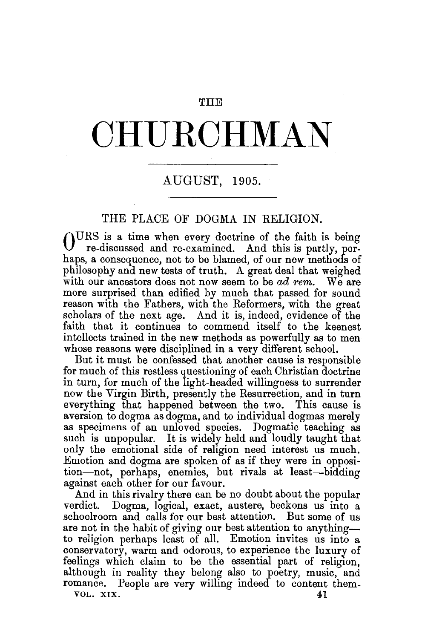#### THE

# **OHU.ROHMAN**

## AUGUST, 1905.

### THE PLACE OF DOGMA IN RELIGION.

 $\int_{0}^{1}$   $\int_{0}^{\infty}$  rediscussed and re-examined and this is partly per re-discussed and re-examined. And this is partly, perhaps, a consequence, not to be blamed, of our new methods of philosophy and new tests of truth. A great deal that weighed with our ancestors does not now seem to be *ad rem.* We are more surprised than edified by much that passed for sound reason with the Fathers, with the Reformers, with the great scholars of the next age. And it is, indeed, evidence of the faith that it continues to commend itself to the keenest intellects trained in the new methods as powerfully as to men whose reasons were disciplined in a very different school.

But it must be confessed that another cause is responsible for much of this restless questioning of each Christian doctrine in turn, for much of the light-headed willingness to surrender now the Virgin Birth, presently the Resurrection, and in turn everything that happened between the two. This cause is aversion to dogma as dogma, and to individual dogmas merely as specimens of an unloved species. Dogmatic teaching as such is unpopular. It is widely held and loudly taught that only the emotional side of religion need interest us much. Emotion and dogma are spoken of as if they were in opposition-not, perhaps, enemies, but rivals at least-bidding against each other for our favour.

And in this rivalry there can be no doubt about the popular verdict. Dogma, logical, exact, austere, beckons us into a schoolroom and calls for our best attention. But some of us are not in the habit of giving our best attention to anythingto religion perhaps least of all. Emotion invites us into a conservatory, warm and odorous, to experience the luxury of feelings which claim to be the essential part of religion, although in reality they belong also to poetry, music, and romance. People are very willing indeed to content them-VOL. XIX.  $41$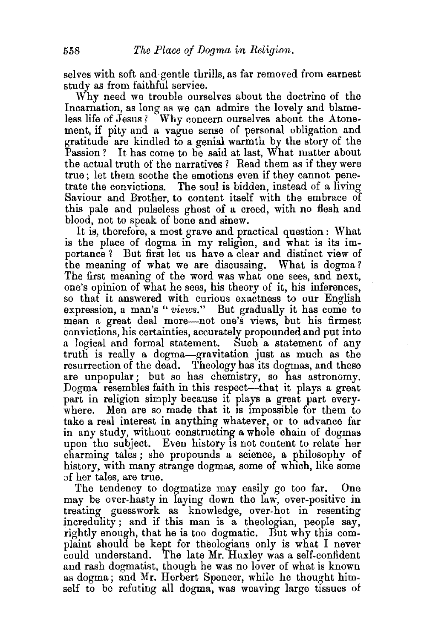selves with soft and gentle thrills, as far removed from earnest study as from faithful service.

Why need we trouble ourselves about the doctrine of the Incarnation, as long as we can admire the lovely and blameless life of Jesus? Why concern ourselves about the Atonement, if pity and a vague sense of personal obligation and gratitude are kindled to a genial warmth by the story of the Passion? It has come to be said at last, What matter about the actual truth of the narratives ? Read them as if they were true ; let them soothe the emotions even if they cannot penetrate the convictions. The soul is bidden, instead of a living Saviour and Brother, to content itself with the embrace of this pale and pulseless ghost of a creed, with no flesh and blood, not to speak of bone and sinew.

It is, therefore, a most grave and practical question: What is the place of dogma in my religion, and what is its importance ? But first let us have a clear and distinct view of the meaning of what we are discussing. What is dogma? The first meaning of the word was what one sees, and next, one's opinion of what he sees, his theory of it, his inferences, so that it answered with curious exactness to our English expression, a man's "*views*." But gradually it has come to mean a great deal more-not one's views, but his firmest convictions, his certainties, accurately propounded and put into a logical and formal statement. Such a statement of any truth is really a dogma-gravitation just as much as the resurrection of the dead. Theology has its dogmas, and these are unpopular; but so has chemistry, so has astronomy. Dogma resembles faith in this respect—that it plays a great part in religion simply because it plays a great part everywhere. Men are so made that it is impossible for them to take a real interest in anything whatever, or to advance far in any study, without constructing a whole chain of dogmas upon the subject. Even history is not content to relate her charming tales ; she propounds a science, a philosophy of history, with many strange dogmas, some of which, like some of her tales, are true.

The tendency to dogmatize may easily go too far. One may be over-hasty in laying down the law, over-positive in treating guesswork as knowledge, over.hot in resenting incredulity; and if this man is a theologian, people say, rightly enough, that he is too dogmatic. But why this complaint should be kept for theologians only is what I never could understand. The late Mr. Huxley was a self-confident and rash dogmatist, though he was no lover of what is known as dogma; and Mr. Herbert Spencer, while he thought himself to be refuting all dogma, was weaving large tissues of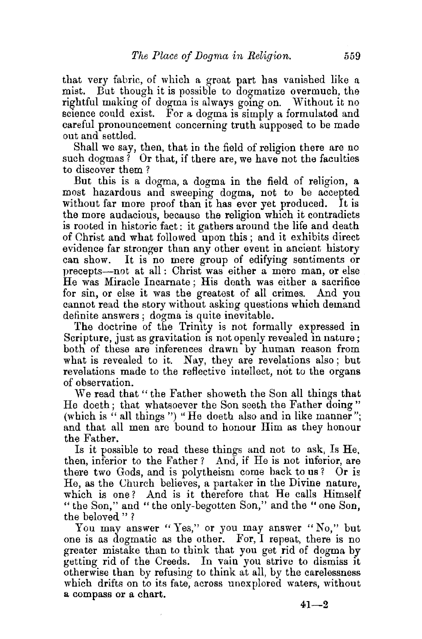that very fabric, of which a great part has vanished like a mist. But though it is possible to dogmatize overmuch, the rightful making of dogma is always going on. Without it no science could exist. For a dogma is simply a formulated and careful pronouncement concerning truth supposed to be made out and settled.

Shall we say, then, that in the field of religion there are no such dogmas? Or that, if there are, we have not the faculties to discover them ?

But this is a dogma, a dogma in the field of religion, a most hazardous and sweeping dogma, not to be accepted without far more proof than it has ever yet produced. It is the more audacious, because **the** religion which it contradicts is rooted in historic fact: it gathers around the life and death of Christ and what followed upon this; and it exhibits direct evidence far stronger than any other event in ancient history can show. It is no mere group of edifying sentiments or precepts-not at aU: Christ was either a mere man, or else He was Miracle Incarnate ; His death was either a sacrifice for sin, or else it was the greatest of all crimes. And you cannot read the story without asking questions which demand definite answers; dogma is quite inevitable.

The doctrine of the Trinity is not formally expressed in Scripture, just as gravitation is not openly revealed in nature; both of these are inferences drawn by human reason from what is revealed to it. Nay, they are revelations also; but revelations made to the reflective intellect, not to the organs of observation.

We read that " the Father showeth the Son all things that He doeth; that whatsoever the Son seeth the Father doing " (which is " all things ") "He doeth also and in like manner"; and that all men are bound to honour Him as they honour the Father.

Is it possible to read these things and not to ask, Is He, then, inferior to the Father ? And, if He is not inferior, are there two Gods, and is polytheism come back to us? Or is He, as the Church believes, a partaker in the Divine nature, which is one? And is it therefore that He calls Himself "the Son," and "the only-begotten Son," and the "one Son, the beloved " ?

You may answer "Yes," or you may answer "No," but one is as dogmatic as the other. For, I repeat, there is no greater mistake than to think that you get rid of dogma by getting rid of the Creeds. In vain you strive to dismiss it otherwise than by refusing to think at all, by the carelessness which drifts on to its fate, across unexplored waters, without a compass or a chart.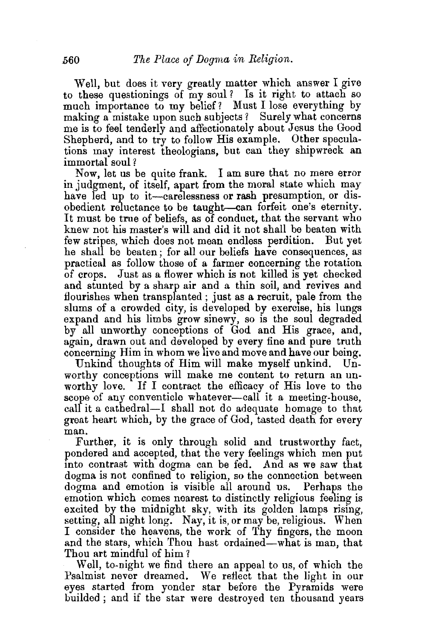Well, but does it very greatly matter which answer I give to these questionings of my soul *?* Is it right to attach so much importance to my belief? Must I lose everything by making a mistake upon such subjects? Surely what concerns me is to feel tenderly and affectionately about Jesus the Good Shepherd, and to try to follow His example. Other speculations may interest theologians, but can they shipwreck an immortal soul *?* 

Now, let us be quite frank. I am sure that no mere error in judgment, of itself, apart from the moral state which may have led up to it-carelessness or rash presumption, or disobedient reluctance to be taught-can forfeit one's eternity. It must be true of beliefs, as of conduct, that the servant who knew not his master's will and did it not shall be beaten with few stripes, which does not mean endless perdition. But yet he shall be beaten; for all our beliefs have consequences, as practical as follow those of a farmer concerning the rotation of crops. Just as a flower which is not killed is yet checked and stunted by a sharp air and a thin soil, and revives and flourishes when transplanted ; just as a recruit, pale from the slums of a crowded city, is developed by exercise, his lungs expand and his limbs grow sinewy, so is the soul degraded by all unworthy conceptions of God and His grace, and, again, drawn out and developed by every fine and pure truth concerning Him in whom we live and move and have our being.

Unkind thoughts of Him will make myself unkind. Unworthy conceptions will make me content to return an unworthy love. If I contract the efficacy of His love to the scope of any conventicle whatever-call it a meeting-house. call it a cathedral—I shall not do adequate homage to that great heart which, by the grace of God, tasted death for every man.

Further, it is only through solid and trustworthy fact, pondered and accepted, that the very feelings which men put into contrast with dogma can be fed. And as we saw that dogma is not confined to religion, so the connection between dogma and emotion is visible all around us. Perhaps the emotion which comes nearest to distinctly religious feeling is excited by the midnight sky, with its golden lamps rising, setting, all night long. Nay, it is, or may be, religious. When I consider the heavens, the work of Thy fingers, the moon and the stars, which Thou hast ordained-what is man, that Thou art mindful of him?

Well, to-night we find there an appeal to us, of which the Psalmist never dreamed. We reflect that the light in our eyes started from yonder star before the Pyramids were builded ; and if the star were destroyed ten thousand years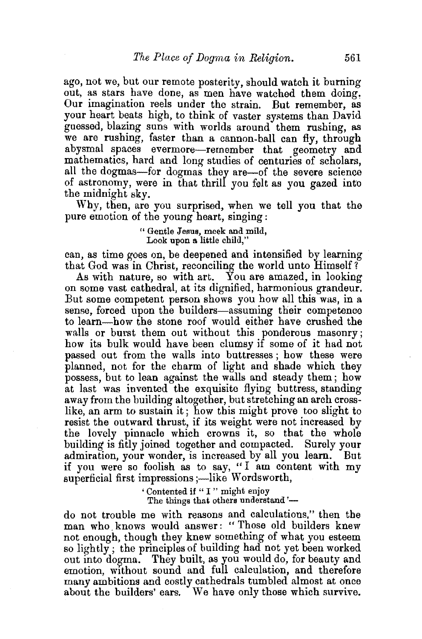ago, not we, but our remote posterity, should watch it burning out, as stars have done, as men have watched them doing. Our imagination reels under the strain. But remember, as your heart beats high, to think of vaster systems than David guessed, blazing suns with worlds around them rushing, as we are rushing, faster than a cannon-ball can fly, through abysmal spaces evermore-remember that geometry and mathematics, hard and long studies of centuries of scholars, all the dogmas-for dogmas they are-of the severe science of astronomy, were in that thrill you felt as you gazed into the midnight sky.

Why, then, are you surprised, when we tell you that the pure emotion of the young heart, singing :

> " Gentle Jesus, meek and mild, Look upon a little child,"

can, as time goes on, be deepened and intensified by learning that God was in Christ, reconciling the world unto Himself *1* 

As with nature, so with art. You are aniazed, in looking on some vast cathedral, at its dignified, harmonious grandeur. But some competent person shows you how all this was, in a sense, forced upon the builders-assuming their competence to learn—how the stone roof would either have crushed the walls or burst them out without this ponderous masonry; how its bulk would have been clumsy if some of it had not passed out from the walls into buttresses ; how these were planned, not for the charm of light and shade which they possess, but to lean against the walls and steady them ; how at last was invented the exquisite flying buttress, standing away from the building altogether, but stretching an arch crosslike, an arm to sustain it; how this might prove too slight to resist the outward thrust, if its weight were not increased by the lovely pinnacle which crowns it, so that the whole building' is fitly joined together and compacted. Surely your admiration, your wonder, is increased by all you learn. But if you were so foolish as to say, "I am content with  $m\bar{v}$ superficial first impressions ;- like Wordsworth,

> ' Contented if " I " might enjoy The things that others understand'-

do not trouble me with reasons and calculations," then the man who knows would answer: "Those old builders knew not enough, though they knew something of what you esteem so lightly ; the principles of building bad not yet been worked out into dogma. They built, as you would do, for beauty and emotion, without sound and full calculation, and therefore many ambitions and costly cathedrals tumbled almost at once about the builders' ears. We have only those which survive.